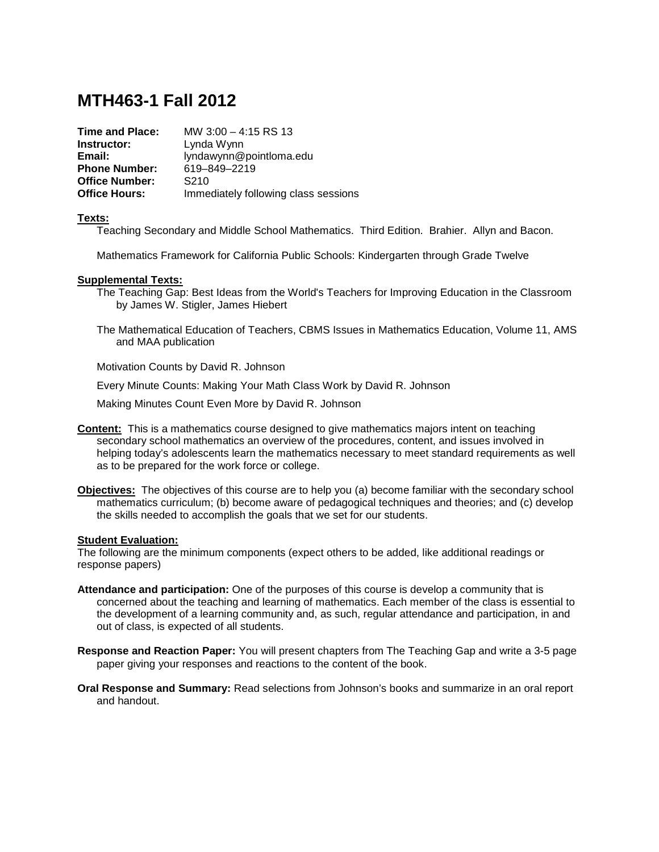# **MTH463-1 Fall 2012**

| Time and Place:       | MW $3:00 - 4:15$ RS 13               |
|-----------------------|--------------------------------------|
| Instructor:           | Lynda Wynn                           |
| Email:                | lyndawynn@pointloma.edu              |
| <b>Phone Number:</b>  | 619-849-2219                         |
| <b>Office Number:</b> | S <sub>210</sub>                     |
| <b>Office Hours:</b>  | Immediately following class sessions |

## **Texts:**

Teaching Secondary and Middle School Mathematics. Third Edition. Brahier. Allyn and Bacon.

Mathematics Framework for California Public Schools: Kindergarten through Grade Twelve

#### **Supplemental Texts:**

- The Teaching Gap: Best Ideas from the World's Teachers for Improving Education in the Classroom by James W. Stigler, James Hiebert
- The Mathematical Education of Teachers, CBMS Issues in Mathematics Education, Volume 11, AMS and MAA publication

Motivation Counts by David R. Johnson

Every Minute Counts: Making Your Math Class Work by David R. Johnson

Making Minutes Count Even More by David R. Johnson

- **Content:** This is a mathematics course designed to give mathematics majors intent on teaching secondary school mathematics an overview of the procedures, content, and issues involved in helping today's adolescents learn the mathematics necessary to meet standard requirements as well as to be prepared for the work force or college.
- **Objectives:** The objectives of this course are to help you (a) become familiar with the secondary school mathematics curriculum; (b) become aware of pedagogical techniques and theories; and (c) develop the skills needed to accomplish the goals that we set for our students.

# **Student Evaluation:**

The following are the minimum components (expect others to be added, like additional readings or response papers)

- **Attendance and participation:** One of the purposes of this course is develop a community that is concerned about the teaching and learning of mathematics. Each member of the class is essential to the development of a learning community and, as such, regular attendance and participation, in and out of class, is expected of all students.
- **Response and Reaction Paper:** You will present chapters from The Teaching Gap and write a 3-5 page paper giving your responses and reactions to the content of the book.
- **Oral Response and Summary:** Read selections from Johnson's books and summarize in an oral report and handout.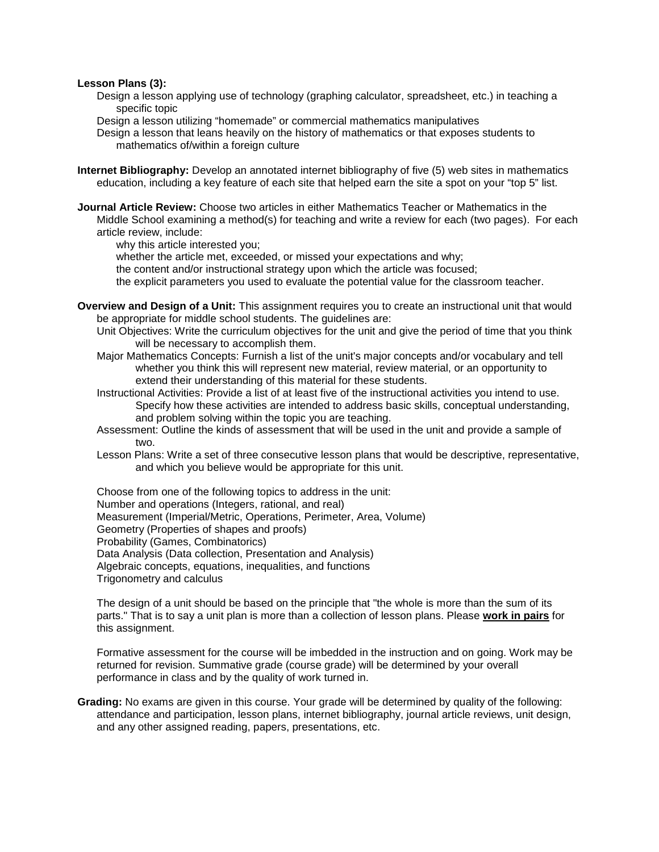### **Lesson Plans (3):**

- Design a lesson applying use of technology (graphing calculator, spreadsheet, etc.) in teaching a specific topic
- Design a lesson utilizing "homemade" or commercial mathematics manipulatives

Design a lesson that leans heavily on the history of mathematics or that exposes students to mathematics of/within a foreign culture

- **Internet Bibliography:** Develop an annotated internet bibliography of five (5) web sites in mathematics education, including a key feature of each site that helped earn the site a spot on your "top 5" list.
- **Journal Article Review:** Choose two articles in either Mathematics Teacher or Mathematics in the Middle School examining a method(s) for teaching and write a review for each (two pages). For each article review, include:

why this article interested you;

whether the article met, exceeded, or missed your expectations and why;

the content and/or instructional strategy upon which the article was focused;

the explicit parameters you used to evaluate the potential value for the classroom teacher.

- **Overview and Design of a Unit:** This assignment requires you to create an instructional unit that would be appropriate for middle school students. The guidelines are:
	- Unit Objectives: Write the curriculum objectives for the unit and give the period of time that you think will be necessary to accomplish them.
	- Major Mathematics Concepts: Furnish a list of the unit's major concepts and/or vocabulary and tell whether you think this will represent new material, review material, or an opportunity to extend their understanding of this material for these students.
	- Instructional Activities: Provide a list of at least five of the instructional activities you intend to use. Specify how these activities are intended to address basic skills, conceptual understanding, and problem solving within the topic you are teaching.
	- Assessment: Outline the kinds of assessment that will be used in the unit and provide a sample of two.
	- Lesson Plans: Write a set of three consecutive lesson plans that would be descriptive, representative, and which you believe would be appropriate for this unit.

Choose from one of the following topics to address in the unit: Number and operations (Integers, rational, and real) Measurement (Imperial/Metric, Operations, Perimeter, Area, Volume) Geometry (Properties of shapes and proofs) Probability (Games, Combinatorics) Data Analysis (Data collection, Presentation and Analysis) Algebraic concepts, equations, inequalities, and functions Trigonometry and calculus

The design of a unit should be based on the principle that "the whole is more than the sum of its parts." That is to say a unit plan is more than a collection of lesson plans. Please **work in pairs** for this assignment.

Formative assessment for the course will be imbedded in the instruction and on going. Work may be returned for revision. Summative grade (course grade) will be determined by your overall performance in class and by the quality of work turned in.

**Grading:** No exams are given in this course. Your grade will be determined by quality of the following: attendance and participation, lesson plans, internet bibliography, journal article reviews, unit design, and any other assigned reading, papers, presentations, etc.